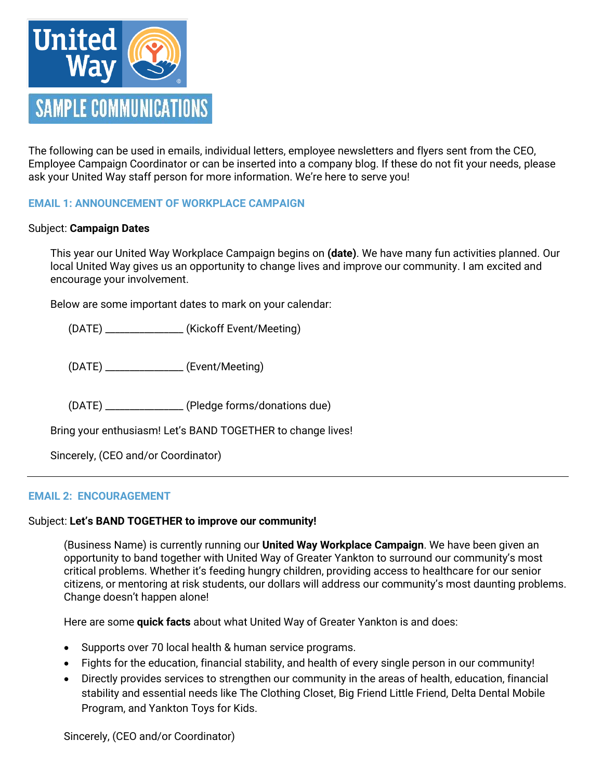

The following can be used in emails, individual letters, employee newsletters and flyers sent from the CEO, Employee Campaign Coordinator or can be inserted into a company blog. If these do not fit your needs, please ask your United Way staff person for more information. We're here to serve you!

## **EMAIL 1: ANNOUNCEMENT OF WORKPLACE CAMPAIGN**

#### Subject: **Campaign Dates**

This year our United Way Workplace Campaign begins on **(date)**. We have many fun activities planned. Our local United Way gives us an opportunity to change lives and improve our community. I am excited and encourage your involvement.

Below are some important dates to mark on your calendar:

(DATE) \_\_\_\_\_\_\_\_\_\_\_\_\_\_\_\_ (Kickoff Event/Meeting)

(DATE) \_\_\_\_\_\_\_\_\_\_\_\_\_\_\_\_ (Event/Meeting)

(DATE) \_\_\_\_\_\_\_\_\_\_\_\_\_\_\_\_ (Pledge forms/donations due)

Bring your enthusiasm! Let's BAND TOGETHER to change lives!

Sincerely, (CEO and/or Coordinator)

#### **EMAIL 2: ENCOURAGEMENT**

# Subject: **Let's BAND TOGETHER to improve our community!**

(Business Name) is currently running our **United Way Workplace Campaign**. We have been given an opportunity to band together with United Way of Greater Yankton to surround our community's most critical problems. Whether it's feeding hungry children, providing access to healthcare for our senior citizens, or mentoring at risk students, our dollars will address our community's most daunting problems. Change doesn't happen alone!

Here are some **quick facts** about what United Way of Greater Yankton is and does:

- Supports over 70 local health & human service programs.
- Fights for the education, financial stability, and health of every single person in our community!
- Directly provides services to strengthen our community in the areas of health, education, financial stability and essential needs like The Clothing Closet, Big Friend Little Friend, Delta Dental Mobile Program, and Yankton Toys for Kids.

Sincerely, (CEO and/or Coordinator)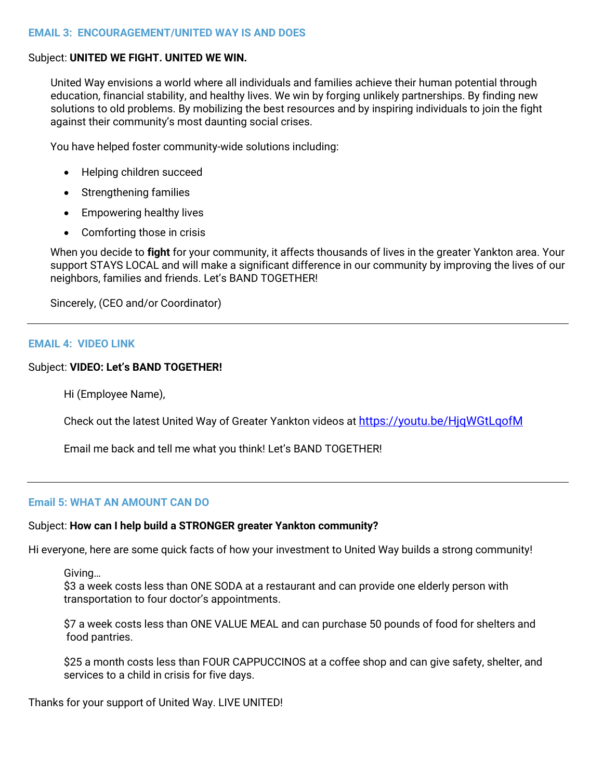### Subject: **UNITED WE FIGHT. UNITED WE WIN.**

United Way envisions a world where all individuals and families achieve their human potential through education, financial stability, and healthy lives. We win by forging unlikely partnerships. By finding new solutions to old problems. By mobilizing the best resources and by inspiring individuals to join the fight against their community's most daunting social crises.

You have helped foster community-wide solutions including:

- Helping children succeed
- Strengthening families
- Empowering healthy lives
- Comforting those in crisis

When you decide to **fight** for your community, it affects thousands of lives in the greater Yankton area. Your support STAYS LOCAL and will make a significant difference in our community by improving the lives of our neighbors, families and friends. Let's BAND TOGETHER!

Sincerely, (CEO and/or Coordinator)

## **EMAIL 4: VIDEO LINK**

## Subject: **VIDEO: Let's BAND TOGETHER!**

Hi (Employee Name),

Check out the latest United Way of Greater Yankton videos at <https://youtu.be/HjqWGtLqofM>

Email me back and tell me what you think! Let's BAND TOGETHER!

# **Email 5: WHAT AN AMOUNT CAN DO**

# Subject: **How can I help build a STRONGER greater Yankton community?**

Hi everyone, here are some quick facts of how your investment to United Way builds a strong community!

Giving…

\$3 a week costs less than ONE SODA at a restaurant and can provide one elderly person with transportation to four doctor's appointments.

\$7 a week costs less than ONE VALUE MEAL and can purchase 50 pounds of food for shelters and food pantries.

\$25 a month costs less than FOUR CAPPUCCINOS at a coffee shop and can give safety, shelter, and services to a child in crisis for five days.

Thanks for your support of United Way. LIVE UNITED!